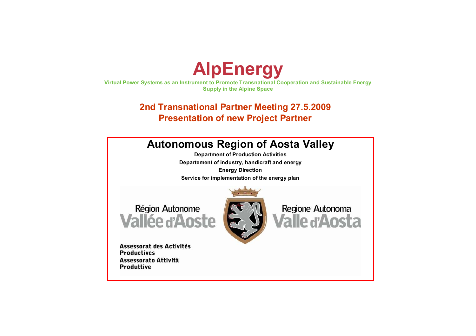

**Virtual Power Systems as an Instrument to Promote Transnational Cooperation and Sustainable Energy Supply in the Alpine Space**

### **2nd Transnational Partner Meeting 27.5.2009 Presentation of new Project Partner**

### **Autonomous Region of Aosta Valley**

**Department of Production Activities Departement of industry, handicraft and energy Energy Direction Service for implementation of the energy plan**

Région Autonome **Vallée d'Aoste** 



Assessorat des Activités **Productives** Assessorato Attività **Produttive** 

Regione Autonoma *l*alle d'Ansta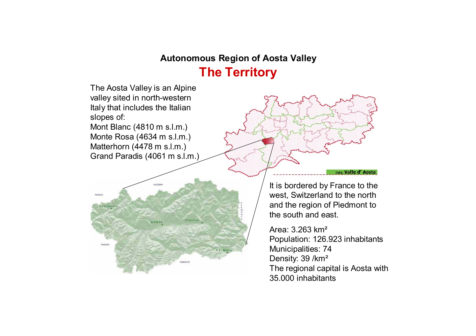### **Autonomous Region of Aosta Valley**

# **The Territory**

The Aosta Valley is an Alpine valley sited in north-western Italy that includes the Italian slopes of: Mont Blanc (4810 m s.l.m.)

Monte Rosa (4634 m s.l.m.) Matterhorn (4478 m s.l.m.) Grand Paradis (4061 m s.l.m.)



It is bordered by France to the west, Switzerland to the north and the region of Piedmont to the south and east.

Italy, Valle d'Aosta

Area: 3.263 km²Population: 126.923 inhabitants Municipalities: 74 Density: 39 /km<sup>2</sup> The regional capital is Aosta with 35.000 inhabitants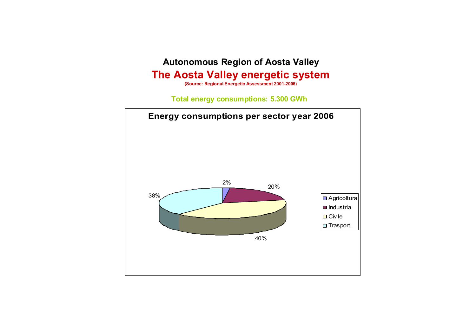## **Autonomous Region of Aosta Valley The Aosta Valley energetic system**

**(Source: Regional Energetic Assessment 2001-2006)**

**Total energy consumptions: 5.300 GWh**

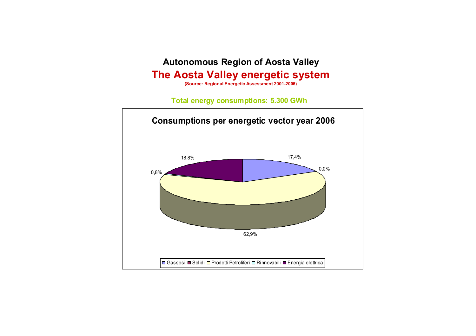### **Autonomous Region of Aosta Valley The Aosta Valley energetic system**

**(Source: Regional Energetic Assessment 2001-2006)**

#### **Total energy consumptions: 5.300 GWh**

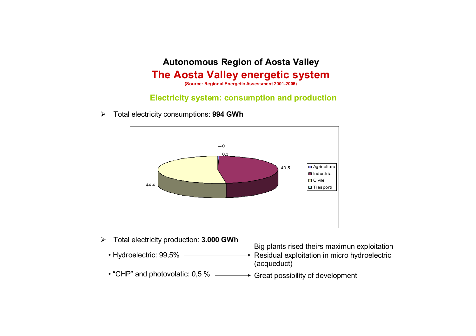# **Autonomous Region of Aosta Valley The Aosta Valley energetic system**

**(Source: Regional Energetic Assessment 2001-2006)**

#### **Electricity system: consumption and production**

 $\blacktriangleright$ Total electricity consumptions: **994 GWh**



- $\blacktriangleright$  Total electricity production: **3.000 GWh**
	- Hydroelectric: 99,5%
	-

Big plants rised theirs maximun exploitation

- $\rightarrow$  Residual exploitation in micro hydroelectric (acqueduct)
- $\bullet$  "CHP" and photovolatic: 0,5 %  $\hspace{0.1cm}\longrightarrow\hspace{0.1cm}$  Great possibility of development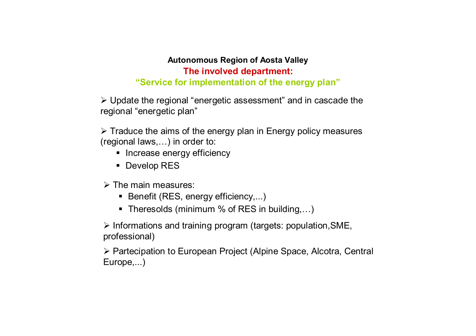#### **Autonomous Region of Aosta Valley The involved department:**

### **"Service for implementation of the energy plan"**

¾ Update the regional "energetic assessment" and in cascade the regional "energetic plan"

 $\triangleright$  Traduce the aims of the energy plan in Energy policy measures (regional laws,…) in order to:

- **•** Increase energy efficiency
- Develop RES
- $\triangleright$  The main measures:
	- Benefit (RES, energy efficiency,...)
	- Theresolds (minimum % of RES in building,...)

¾ Informations and training program (targets: population,SME, professional)

¾ Partecipation to European Project (Alpine Space, Alcotra, Central Europe,...)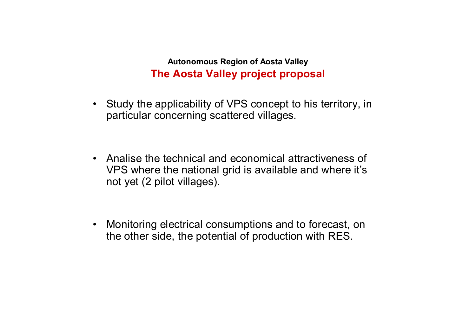**Autonomous Region of Aosta Valley The Aosta Valley project proposal**

• Study the applicability of VPS concept to his territory, in particular concerning scattered villages.

• Analise the technical and economical attractiveness of VPS where the national grid is available and where it's not yet (2 pilot villages).

 $\bullet$  Monitoring electrical consumptions and to forecast, on the other side, the potential of production with RES.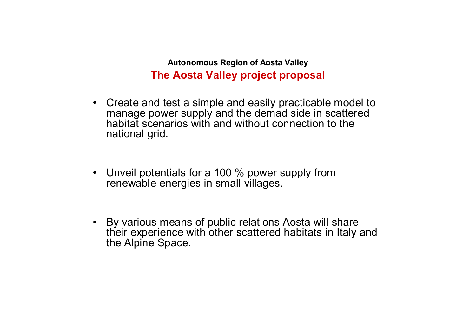**Autonomous Region of Aosta Valley The Aosta Valley project proposal**

- Create and test a simple and easily practicable model to manage power supply and the demad side in scattered habitat scenarios with and without connection to the national grid.
- Unveil potentials for a 100 % power supply from renewable energies in small villages.
- By various means of public relations Aosta will share their experience with other scattered habitats in Italy and the Alpine Space.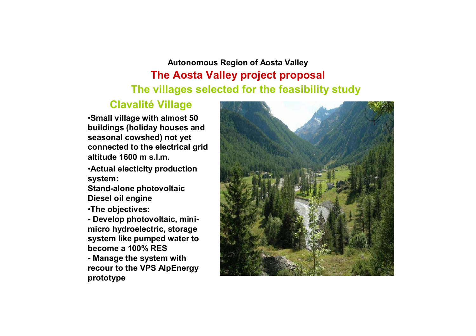# **Autonomous Region of Aosta Valley The Aosta Valley project proposal The villages selected for the feasibility study**

### **Clavalité Village**

•**Small village with almost 50 buildings (holiday houses and seasonal cowshed) not yet connected to the electrical grid altitude 1600 m s.l.m.**

•**Actual electicity production system:**

**Stand-alone photovoltaic Diesel oil engine**

•**The objectives:**

**- Develop photovoltaic, minimicro hydroelectric, storage system like pumped water to become a 100% RES- Manage the system with recour to the VPS AlpEnergy prototype**

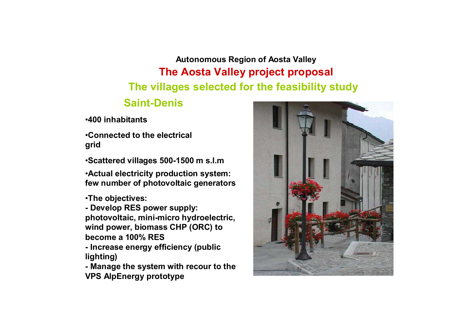**Autonomous Region of Aosta Valley The Aosta Valley project proposal The villages selected for the feasibility study**

## **Saint-Denis**

•**400 inhabitants**

•**Connected to the electrical grid**

•**Scattered villages 500-1500 m s.l.m**

•**Actual electricity production system: few number of photovoltaic generators**

•**The objectives:**

**- Develop RES power supply: photovoltaic, mini-micro hydroelectric, wind power, biomass CHP (ORC) to become a 100% RES**

**- Increase energy efficiency (public lighting)**

**- Manage the system with recour to the VPS AlpEnergy prototype**